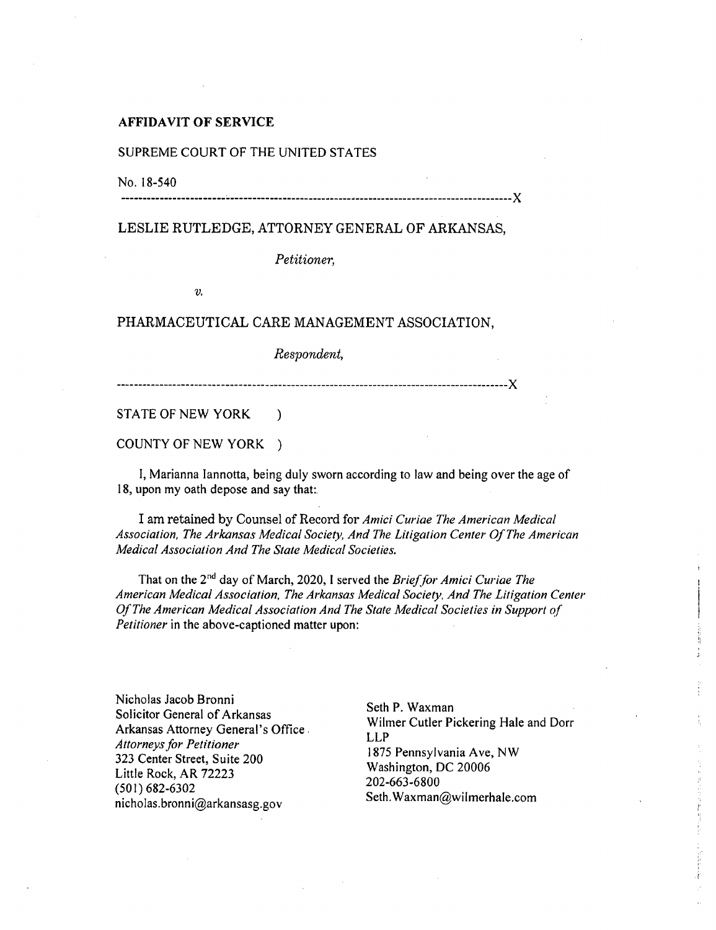## **AFFIDAVIT OF SERVICE**

## SUPREME COURT OF THE UNITED STATES

No. 18-540

X

## LESLIE RUTLEDGE, ATTORNEY GENERAL OF ARKANSAS,

*Petitioner,* 

 $v_{\cdot}$ 

## PHARMACEUTICAL CARE MANAGEMENT ASSOCIATION,

*Respondent,* 

X

STATE OF NEW YORK )

COUNTY OF NEW YORK )

I, Marianna lannotta, being duly sworn according to law and being over the age of 18, upon my oath depose and say that:.

**I** am retained by Counsel of Record for *Amici Curiae The American Medical Association, The Arkansas Medical Society, And The Litigation Center Of The American Medical Association And The State Medical Societies.* 

That on the 2<sup>nd</sup> day of March, 2020, I served the *Brief for Amici Curiae The American Medical Association, The Arkansas Medical Society, And The Litigation Center Of The American Medical Association And The State Medical Societies in Support of Petitioner* in the above-captioned matter upon:

Nicholas Jacob Bronni Solicitor General of Arkansas Arkansas Attorney General's Office *Attorneys for Petitioner*  323 Center Street, Suite 200 Little Rock, AR 72223 (501) 682-6302 nicholas.bronni@arkansasg.gov

Seth P. Waxman Wilmer Cutler Pickering Hale and Dorr LLP 1875 Pennsylvania Ave, NW Washington, DC 20006 202-663-6800 Seth.Waxman@wilmerhale.com